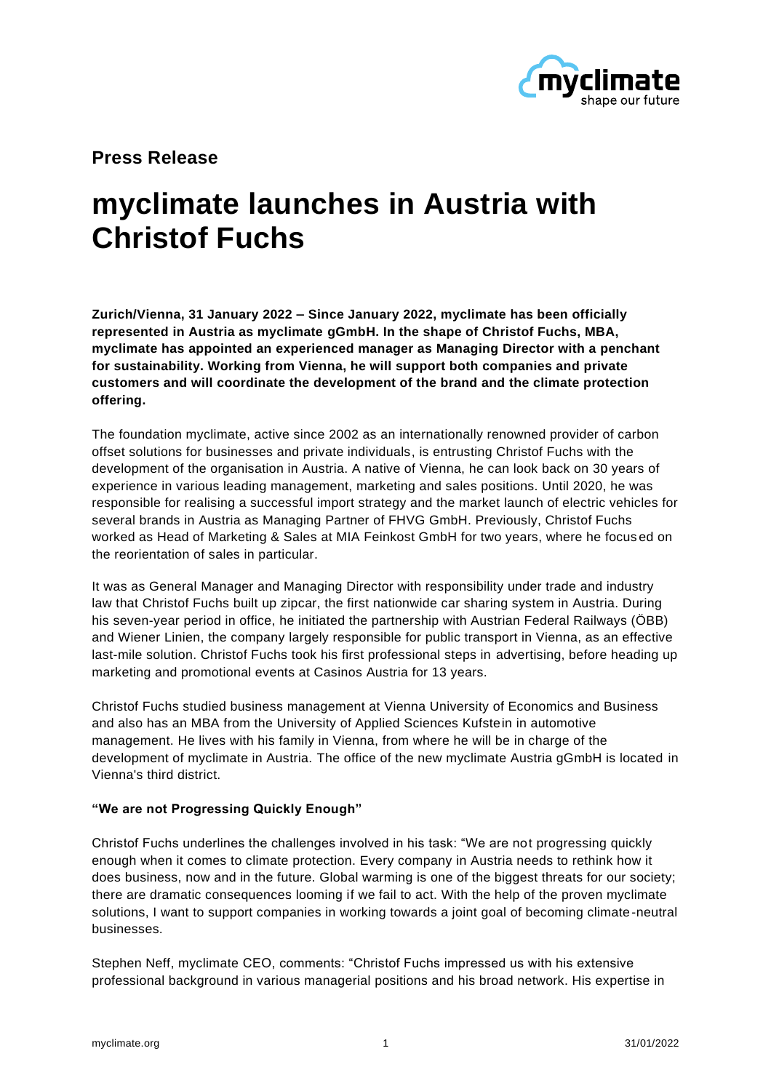

**Press Release** 

# **myclimate launches in Austria with Christof Fuchs**

**Zurich/Vienna, 31 January 2022 – Since January 2022, myclimate has been officially represented in Austria as myclimate gGmbH. In the shape of Christof Fuchs, MBA, myclimate has appointed an experienced manager as Managing Director with a penchant for sustainability. Working from Vienna, he will support both companies and private customers and will coordinate the development of the brand and the climate protection offering.**

The foundation myclimate, active since 2002 as an internationally renowned provider of carbon offset solutions for businesses and private individuals, is entrusting Christof Fuchs with the development of the organisation in Austria. A native of Vienna, he can look back on 30 years of experience in various leading management, marketing and sales positions. Until 2020, he was responsible for realising a successful import strategy and the market launch of electric vehicles for several brands in Austria as Managing Partner of FHVG GmbH. Previously, Christof Fuchs worked as Head of Marketing & Sales at MIA Feinkost GmbH for two years, where he focus ed on the reorientation of sales in particular.

It was as General Manager and Managing Director with responsibility under trade and industry law that Christof Fuchs built up zipcar, the first nationwide car sharing system in Austria. During his seven-year period in office, he initiated the partnership with Austrian Federal Railways (ÖBB) and Wiener Linien, the company largely responsible for public transport in Vienna, as an effective last-mile solution. Christof Fuchs took his first professional steps in advertising, before heading up marketing and promotional events at Casinos Austria for 13 years.

Christof Fuchs studied business management at Vienna University of Economics and Business and also has an MBA from the University of Applied Sciences Kufstein in automotive management. He lives with his family in Vienna, from where he will be in charge of the development of myclimate in Austria. The office of the new myclimate Austria gGmbH is located in Vienna's third district.

## **"We are not Progressing Quickly Enough"**

Christof Fuchs underlines the challenges involved in his task: "We are not progressing quickly enough when it comes to climate protection. Every company in Austria needs to rethink how it does business, now and in the future. Global warming is one of the biggest threats for our society; there are dramatic consequences looming if we fail to act. With the help of the proven myclimate solutions, I want to support companies in working towards a joint goal of becoming climate-neutral businesses.

Stephen Neff, myclimate CEO, comments: "Christof Fuchs impressed us with his extensive professional background in various managerial positions and his broad network. His expertise in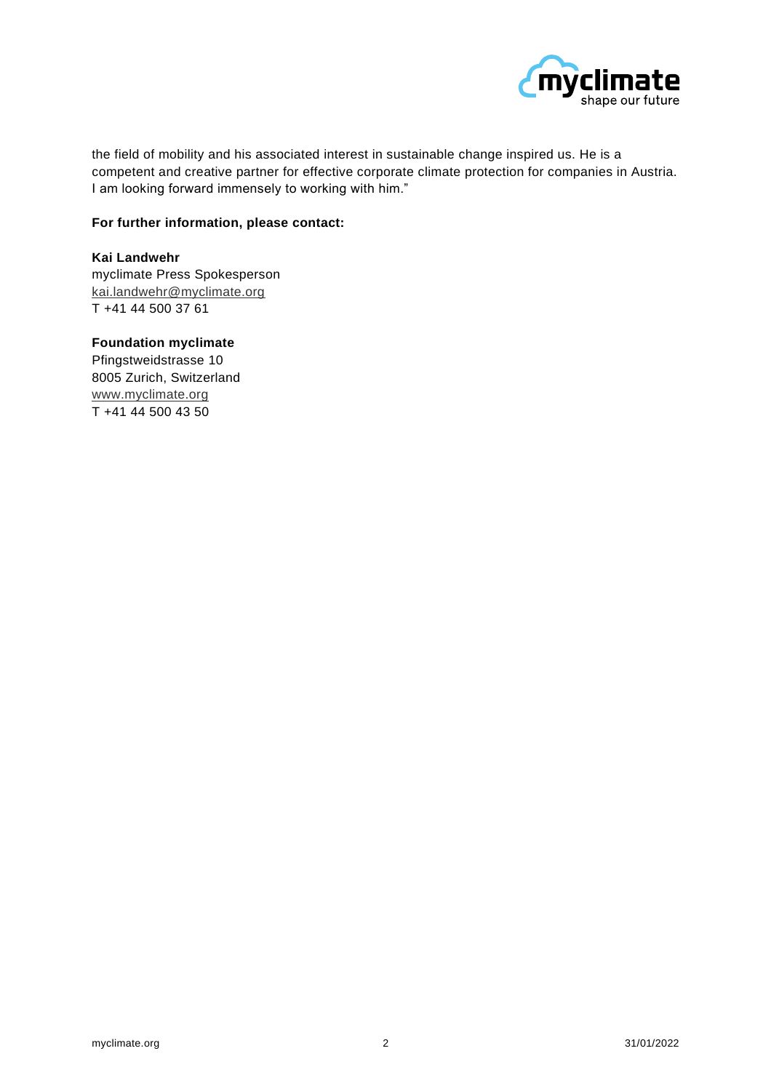

the field of mobility and his associated interest in sustainable change inspired us. He is a competent and creative partner for effective corporate climate protection for companies in Austria. I am looking forward immensely to working with him."

## **For further information, please contact:**

#### **Kai Landwehr**

myclimate Press Spokesperson [kai.landwehr@myclimate.org](mailto:kai.landwehr@myclimate.org) T +41 44 500 37 61

# **Foundation myclimate**

Pfingstweidstrasse 10 8005 Zurich, Switzerland [www.myclimate.org](http://www.myclimate.org/) T +41 44 500 43 50